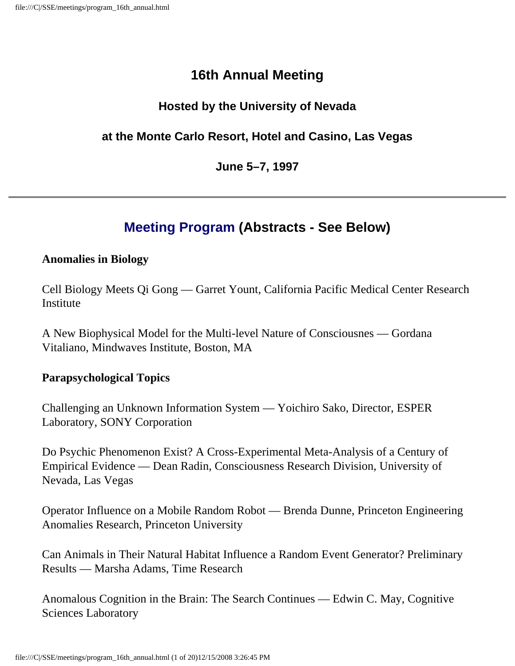### **16th Annual Meeting**

#### **Hosted by the University of Nevada**

#### **at the Monte Carlo Resort, Hotel and Casino, Las Vegas**

#### **June 5–7, 1997**

## **Meeting Program (Abstracts - See Below)**

#### **Anomalies in Biology**

Cell Biology Meets Qi Gong — Garret Yount, California Pacific Medical Center Research Institute

A New Biophysical Model for the Multi-level Nature of Consciousnes — Gordana Vitaliano, Mindwaves Institute, Boston, MA

#### **Parapsychological Topics**

Challenging an Unknown Information System — Yoichiro Sako, Director, ESPER Laboratory, SONY Corporation

Do Psychic Phenomenon Exist? A Cross-Experimental Meta-Analysis of a Century of Empirical Evidence — Dean Radin, Consciousness Research Division, University of Nevada, Las Vegas

Operator Influence on a Mobile Random Robot — Brenda Dunne, Princeton Engineering Anomalies Research, Princeton University

Can Animals in Their Natural Habitat Influence a Random Event Generator? Preliminary Results — Marsha Adams, Time Research

Anomalous Cognition in the Brain: The Search Continues — Edwin C. May, Cognitive Sciences Laboratory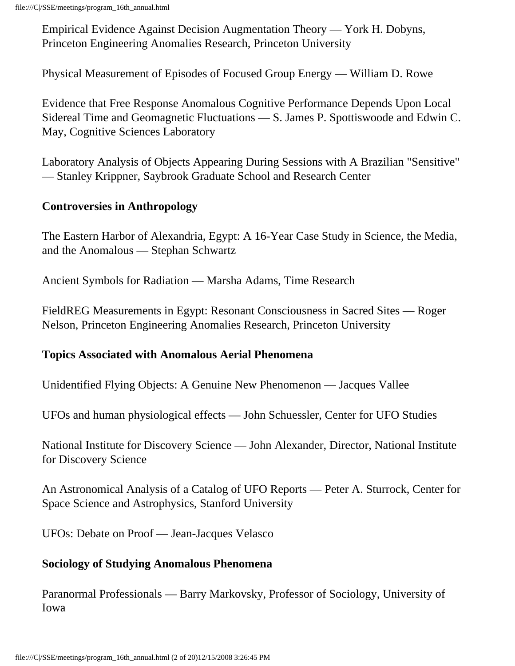Empirical Evidence Against Decision Augmentation Theory — York H. Dobyns, Princeton Engineering Anomalies Research, Princeton University

Physical Measurement of Episodes of Focused Group Energy — William D. Rowe

Evidence that Free Response Anomalous Cognitive Performance Depends Upon Local Sidereal Time and Geomagnetic Fluctuations — S. James P. Spottiswoode and Edwin C. May, Cognitive Sciences Laboratory

Laboratory Analysis of Objects Appearing During Sessions with A Brazilian "Sensitive" — Stanley Krippner, Saybrook Graduate School and Research Center

#### **Controversies in Anthropology**

The Eastern Harbor of Alexandria, Egypt: A 16-Year Case Study in Science, the Media, and the Anomalous — Stephan Schwartz

Ancient Symbols for Radiation — Marsha Adams, Time Research

FieldREG Measurements in Egypt: Resonant Consciousness in Sacred Sites — Roger Nelson, Princeton Engineering Anomalies Research, Princeton University

#### **Topics Associated with Anomalous Aerial Phenomena**

Unidentified Flying Objects: A Genuine New Phenomenon — Jacques Vallee

UFOs and human physiological effects — John Schuessler, Center for UFO Studies

National Institute for Discovery Science — John Alexander, Director, National Institute for Discovery Science

An Astronomical Analysis of a Catalog of UFO Reports — Peter A. Sturrock, Center for Space Science and Astrophysics, Stanford University

UFOs: Debate on Proof — Jean-Jacques Velasco

#### **Sociology of Studying Anomalous Phenomena**

Paranormal Professionals — Barry Markovsky, Professor of Sociology, University of Iowa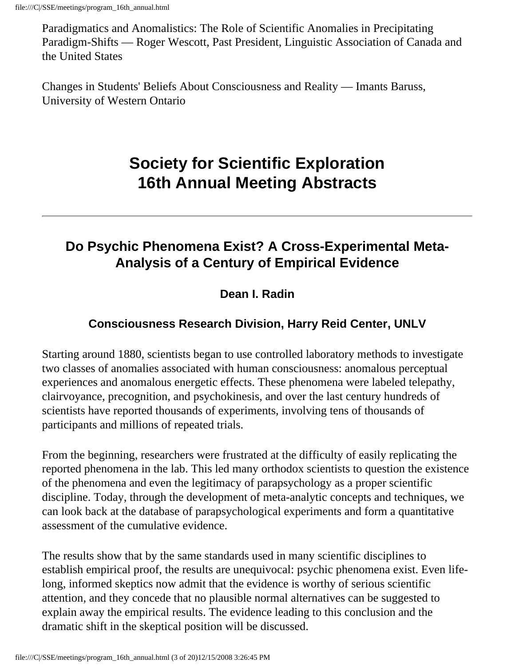Paradigmatics and Anomalistics: The Role of Scientific Anomalies in Precipitating Paradigm-Shifts — Roger Wescott, Past President, Linguistic Association of Canada and the United States

Changes in Students' Beliefs About Consciousness and Reality — Imants Baruss, University of Western Ontario

# **Society for Scientific Exploration 16th Annual Meeting Abstracts**

## **Do Psychic Phenomena Exist? A Cross-Experimental Meta-Analysis of a Century of Empirical Evidence**

### **Dean I. Radin**

### **Consciousness Research Division, Harry Reid Center, UNLV**

Starting around 1880, scientists began to use controlled laboratory methods to investigate two classes of anomalies associated with human consciousness: anomalous perceptual experiences and anomalous energetic effects. These phenomena were labeled telepathy, clairvoyance, precognition, and psychokinesis, and over the last century hundreds of scientists have reported thousands of experiments, involving tens of thousands of participants and millions of repeated trials.

From the beginning, researchers were frustrated at the difficulty of easily replicating the reported phenomena in the lab. This led many orthodox scientists to question the existence of the phenomena and even the legitimacy of parapsychology as a proper scientific discipline. Today, through the development of meta-analytic concepts and techniques, we can look back at the database of parapsychological experiments and form a quantitative assessment of the cumulative evidence.

The results show that by the same standards used in many scientific disciplines to establish empirical proof, the results are unequivocal: psychic phenomena exist. Even lifelong, informed skeptics now admit that the evidence is worthy of serious scientific attention, and they concede that no plausible normal alternatives can be suggested to explain away the empirical results. The evidence leading to this conclusion and the dramatic shift in the skeptical position will be discussed.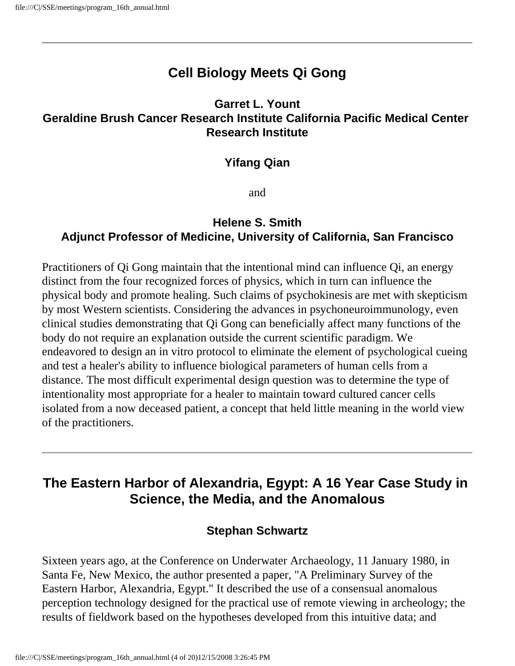### **Cell Biology Meets Qi Gong**

#### **Garret L. Yount Geraldine Brush Cancer Research Institute California Pacific Medical Center Research Institute**

#### **Yifang Qian**

and

#### **Helene S. Smith Adjunct Professor of Medicine, University of California, San Francisco**

Practitioners of Qi Gong maintain that the intentional mind can influence Qi, an energy distinct from the four recognized forces of physics, which in turn can influence the physical body and promote healing. Such claims of psychokinesis are met with skepticism by most Western scientists. Considering the advances in psychoneuroimmunology, even clinical studies demonstrating that Qi Gong can beneficially affect many functions of the body do not require an explanation outside the current scientific paradigm. We endeavored to design an in vitro protocol to eliminate the element of psychological cueing and test a healer's ability to influence biological parameters of human cells from a distance. The most difficult experimental design question was to determine the type of intentionality most appropriate for a healer to maintain toward cultured cancer cells isolated from a now deceased patient, a concept that held little meaning in the world view of the practitioners.

### **The Eastern Harbor of Alexandria, Egypt: A 16 Year Case Study in Science, the Media, and the Anomalous**

#### **Stephan Schwartz**

Sixteen years ago, at the Conference on Underwater Archaeology, 11 January 1980, in Santa Fe, New Mexico, the author presented a paper, "A Preliminary Survey of the Eastern Harbor, Alexandria, Egypt." It described the use of a consensual anomalous perception technology designed for the practical use of remote viewing in archeology; the results of fieldwork based on the hypotheses developed from this intuitive data; and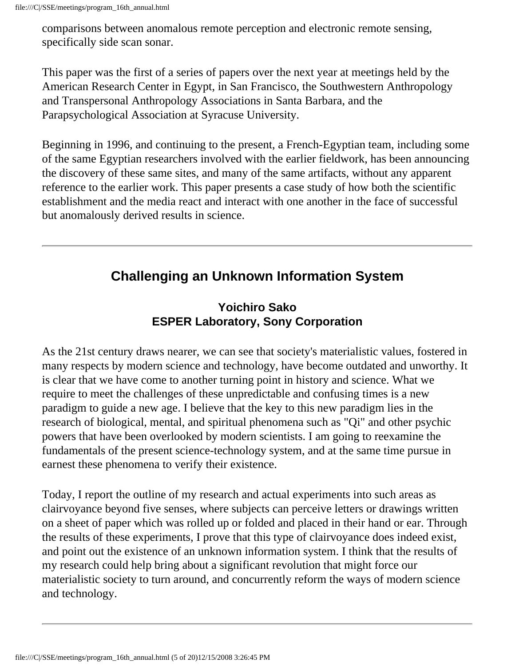comparisons between anomalous remote perception and electronic remote sensing, specifically side scan sonar.

This paper was the first of a series of papers over the next year at meetings held by the American Research Center in Egypt, in San Francisco, the Southwestern Anthropology and Transpersonal Anthropology Associations in Santa Barbara, and the Parapsychological Association at Syracuse University.

Beginning in 1996, and continuing to the present, a French-Egyptian team, including some of the same Egyptian researchers involved with the earlier fieldwork, has been announcing the discovery of these same sites, and many of the same artifacts, without any apparent reference to the earlier work. This paper presents a case study of how both the scientific establishment and the media react and interact with one another in the face of successful but anomalously derived results in science.

### **Challenging an Unknown Information System**

#### **Yoichiro Sako ESPER Laboratory, Sony Corporation**

As the 21st century draws nearer, we can see that society's materialistic values, fostered in many respects by modern science and technology, have become outdated and unworthy. It is clear that we have come to another turning point in history and science. What we require to meet the challenges of these unpredictable and confusing times is a new paradigm to guide a new age. I believe that the key to this new paradigm lies in the research of biological, mental, and spiritual phenomena such as "Qi" and other psychic powers that have been overlooked by modern scientists. I am going to reexamine the fundamentals of the present science-technology system, and at the same time pursue in earnest these phenomena to verify their existence.

Today, I report the outline of my research and actual experiments into such areas as clairvoyance beyond five senses, where subjects can perceive letters or drawings written on a sheet of paper which was rolled up or folded and placed in their hand or ear. Through the results of these experiments, I prove that this type of clairvoyance does indeed exist, and point out the existence of an unknown information system. I think that the results of my research could help bring about a significant revolution that might force our materialistic society to turn around, and concurrently reform the ways of modern science and technology.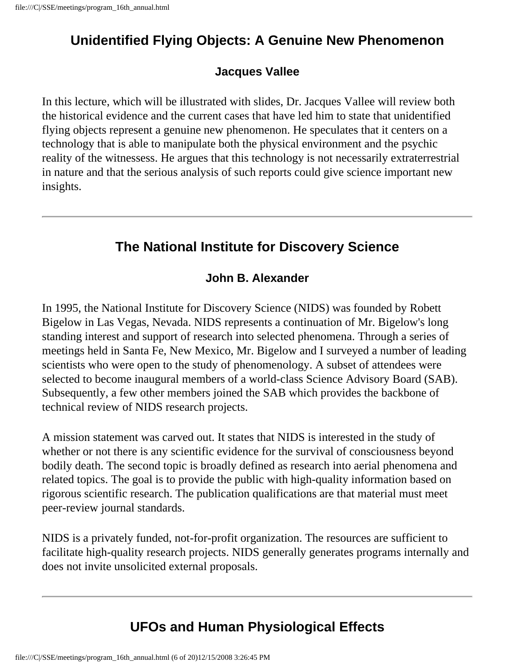## **Unidentified Flying Objects: A Genuine New Phenomenon**

#### **Jacques Vallee**

In this lecture, which will be illustrated with slides, Dr. Jacques Vallee will review both the historical evidence and the current cases that have led him to state that unidentified flying objects represent a genuine new phenomenon. He speculates that it centers on a technology that is able to manipulate both the physical environment and the psychic reality of the witnessess. He argues that this technology is not necessarily extraterrestrial in nature and that the serious analysis of such reports could give science important new insights.

### **The National Institute for Discovery Science**

#### **John B. Alexander**

In 1995, the National Institute for Discovery Science (NIDS) was founded by Robett Bigelow in Las Vegas, Nevada. NIDS represents a continuation of Mr. Bigelow's long standing interest and support of research into selected phenomena. Through a series of meetings held in Santa Fe, New Mexico, Mr. Bigelow and I surveyed a number of leading scientists who were open to the study of phenomenology. A subset of attendees were selected to become inaugural members of a world-class Science Advisory Board (SAB). Subsequently, a few other members joined the SAB which provides the backbone of technical review of NIDS research projects.

A mission statement was carved out. It states that NIDS is interested in the study of whether or not there is any scientific evidence for the survival of consciousness beyond bodily death. The second topic is broadly defined as research into aerial phenomena and related topics. The goal is to provide the public with high-quality information based on rigorous scientific research. The publication qualifications are that material must meet peer-review journal standards.

NIDS is a privately funded, not-for-profit organization. The resources are sufficient to facilitate high-quality research projects. NIDS generally generates programs internally and does not invite unsolicited external proposals.

## **UFOs and Human Physiological Effects**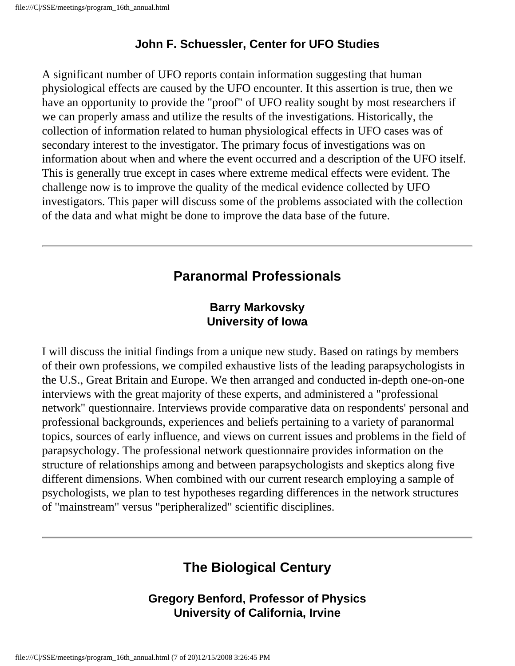#### **John F. Schuessler, Center for UFO Studies**

A significant number of UFO reports contain information suggesting that human physiological effects are caused by the UFO encounter. It this assertion is true, then we have an opportunity to provide the "proof" of UFO reality sought by most researchers if we can properly amass and utilize the results of the investigations. Historically, the collection of information related to human physiological effects in UFO cases was of secondary interest to the investigator. The primary focus of investigations was on information about when and where the event occurred and a description of the UFO itself. This is generally true except in cases where extreme medical effects were evident. The challenge now is to improve the quality of the medical evidence collected by UFO investigators. This paper will discuss some of the problems associated with the collection of the data and what might be done to improve the data base of the future.

### **Paranormal Professionals**

#### **Barry Markovsky University of Iowa**

I will discuss the initial findings from a unique new study. Based on ratings by members of their own professions, we compiled exhaustive lists of the leading parapsychologists in the U.S., Great Britain and Europe. We then arranged and conducted in-depth one-on-one interviews with the great majority of these experts, and administered a "professional network" questionnaire. Interviews provide comparative data on respondents' personal and professional backgrounds, experiences and beliefs pertaining to a variety of paranormal topics, sources of early influence, and views on current issues and problems in the field of parapsychology. The professional network questionnaire provides information on the structure of relationships among and between parapsychologists and skeptics along five different dimensions. When combined with our current research employing a sample of psychologists, we plan to test hypotheses regarding differences in the network structures of "mainstream" versus "peripheralized" scientific disciplines.

# **The Biological Century**

#### **Gregory Benford, Professor of Physics University of California, Irvine**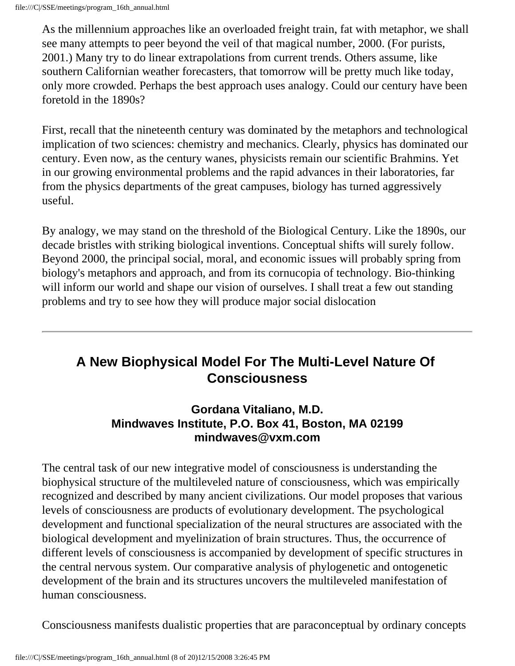As the millennium approaches like an overloaded freight train, fat with metaphor, we shall see many attempts to peer beyond the veil of that magical number, 2000. (For purists, 2001.) Many try to do linear extrapolations from current trends. Others assume, like southern Californian weather forecasters, that tomorrow will be pretty much like today, only more crowded. Perhaps the best approach uses analogy. Could our century have been foretold in the 1890s?

First, recall that the nineteenth century was dominated by the metaphors and technological implication of two sciences: chemistry and mechanics. Clearly, physics has dominated our century. Even now, as the century wanes, physicists remain our scientific Brahmins. Yet in our growing environmental problems and the rapid advances in their laboratories, far from the physics departments of the great campuses, biology has turned aggressively useful.

By analogy, we may stand on the threshold of the Biological Century. Like the 1890s, our decade bristles with striking biological inventions. Conceptual shifts will surely follow. Beyond 2000, the principal social, moral, and economic issues will probably spring from biology's metaphors and approach, and from its cornucopia of technology. Bio-thinking will inform our world and shape our vision of ourselves. I shall treat a few out standing problems and try to see how they will produce major social dislocation

## **A New Biophysical Model For The Multi-Level Nature Of Consciousness**

#### **Gordana Vitaliano, M.D. Mindwaves Institute, P.O. Box 41, Boston, MA 02199 mindwaves@vxm.com**

The central task of our new integrative model of consciousness is understanding the biophysical structure of the multileveled nature of consciousness, which was empirically recognized and described by many ancient civilizations. Our model proposes that various levels of consciousness are products of evolutionary development. The psychological development and functional specialization of the neural structures are associated with the biological development and myelinization of brain structures. Thus, the occurrence of different levels of consciousness is accompanied by development of specific structures in the central nervous system. Our comparative analysis of phylogenetic and ontogenetic development of the brain and its structures uncovers the multileveled manifestation of human consciousness.

Consciousness manifests dualistic properties that are paraconceptual by ordinary concepts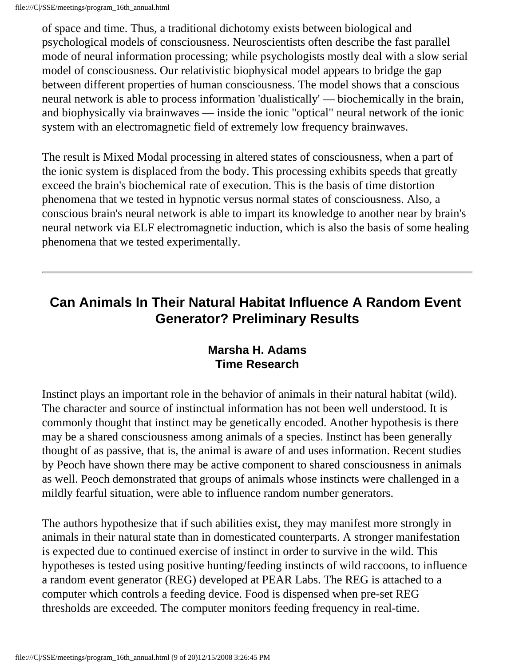of space and time. Thus, a traditional dichotomy exists between biological and psychological models of consciousness. Neuroscientists often describe the fast parallel mode of neural information processing; while psychologists mostly deal with a slow serial model of consciousness. Our relativistic biophysical model appears to bridge the gap between different properties of human consciousness. The model shows that a conscious neural network is able to process information 'dualistically' — biochemically in the brain, and biophysically via brainwaves — inside the ionic "optical" neural network of the ionic system with an electromagnetic field of extremely low frequency brainwaves.

The result is Mixed Modal processing in altered states of consciousness, when a part of the ionic system is displaced from the body. This processing exhibits speeds that greatly exceed the brain's biochemical rate of execution. This is the basis of time distortion phenomena that we tested in hypnotic versus normal states of consciousness. Also, a conscious brain's neural network is able to impart its knowledge to another near by brain's neural network via ELF electromagnetic induction, which is also the basis of some healing phenomena that we tested experimentally.

### **Can Animals In Their Natural Habitat Influence A Random Event Generator? Preliminary Results**

#### **Marsha H. Adams Time Research**

Instinct plays an important role in the behavior of animals in their natural habitat (wild). The character and source of instinctual information has not been well understood. It is commonly thought that instinct may be genetically encoded. Another hypothesis is there may be a shared consciousness among animals of a species. Instinct has been generally thought of as passive, that is, the animal is aware of and uses information. Recent studies by Peoch have shown there may be active component to shared consciousness in animals as well. Peoch demonstrated that groups of animals whose instincts were challenged in a mildly fearful situation, were able to influence random number generators.

The authors hypothesize that if such abilities exist, they may manifest more strongly in animals in their natural state than in domesticated counterparts. A stronger manifestation is expected due to continued exercise of instinct in order to survive in the wild. This hypotheses is tested using positive hunting/feeding instincts of wild raccoons, to influence a random event generator (REG) developed at PEAR Labs. The REG is attached to a computer which controls a feeding device. Food is dispensed when pre-set REG thresholds are exceeded. The computer monitors feeding frequency in real-time.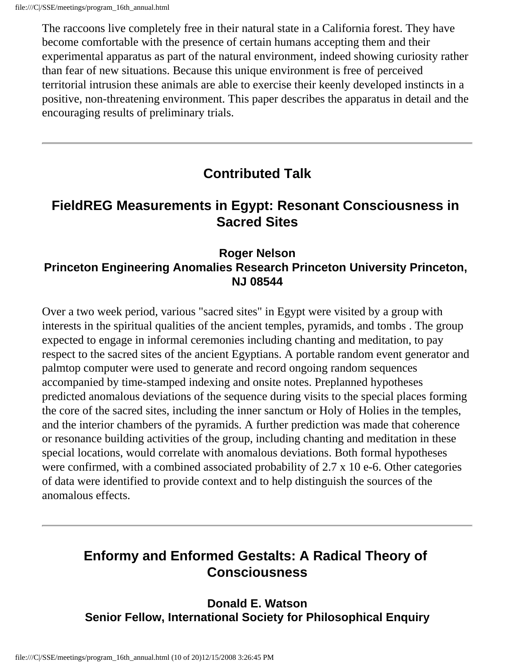The raccoons live completely free in their natural state in a California forest. They have become comfortable with the presence of certain humans accepting them and their experimental apparatus as part of the natural environment, indeed showing curiosity rather than fear of new situations. Because this unique environment is free of perceived territorial intrusion these animals are able to exercise their keenly developed instincts in a positive, non-threatening environment. This paper describes the apparatus in detail and the encouraging results of preliminary trials.

### **Contributed Talk**

### **FieldREG Measurements in Egypt: Resonant Consciousness in Sacred Sites**

#### **Roger Nelson Princeton Engineering Anomalies Research Princeton University Princeton, NJ 08544**

Over a two week period, various "sacred sites" in Egypt were visited by a group with interests in the spiritual qualities of the ancient temples, pyramids, and tombs . The group expected to engage in informal ceremonies including chanting and meditation, to pay respect to the sacred sites of the ancient Egyptians. A portable random event generator and palmtop computer were used to generate and record ongoing random sequences accompanied by time-stamped indexing and onsite notes. Preplanned hypotheses predicted anomalous deviations of the sequence during visits to the special places forming the core of the sacred sites, including the inner sanctum or Holy of Holies in the temples, and the interior chambers of the pyramids. A further prediction was made that coherence or resonance building activities of the group, including chanting and meditation in these special locations, would correlate with anomalous deviations. Both formal hypotheses were confirmed, with a combined associated probability of 2.7 x 10 e-6. Other categories of data were identified to provide context and to help distinguish the sources of the anomalous effects.

## **Enformy and Enformed Gestalts: A Radical Theory of Consciousness**

**Donald E. Watson Senior Fellow, International Society for Philosophical Enquiry**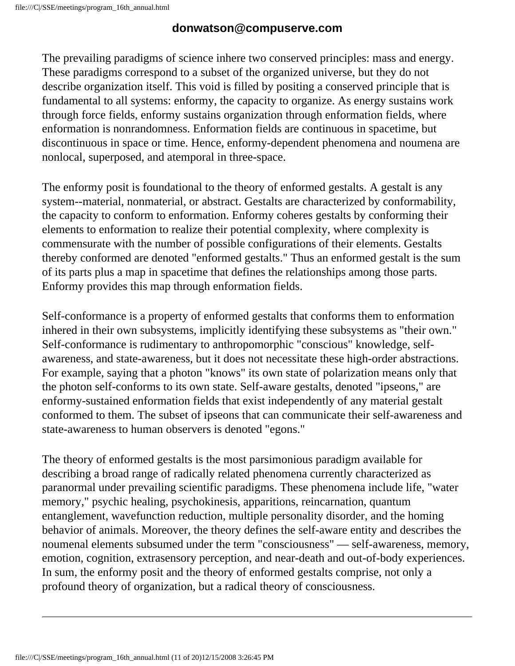#### **donwatson@compuserve.com**

The prevailing paradigms of science inhere two conserved principles: mass and energy. These paradigms correspond to a subset of the organized universe, but they do not describe organization itself. This void is filled by positing a conserved principle that is fundamental to all systems: enformy, the capacity to organize. As energy sustains work through force fields, enformy sustains organization through enformation fields, where enformation is nonrandomness. Enformation fields are continuous in spacetime, but discontinuous in space or time. Hence, enformy-dependent phenomena and noumena are nonlocal, superposed, and atemporal in three-space.

The enformy posit is foundational to the theory of enformed gestalts. A gestalt is any system--material, nonmaterial, or abstract. Gestalts are characterized by conformability, the capacity to conform to enformation. Enformy coheres gestalts by conforming their elements to enformation to realize their potential complexity, where complexity is commensurate with the number of possible configurations of their elements. Gestalts thereby conformed are denoted "enformed gestalts." Thus an enformed gestalt is the sum of its parts plus a map in spacetime that defines the relationships among those parts. Enformy provides this map through enformation fields.

Self-conformance is a property of enformed gestalts that conforms them to enformation inhered in their own subsystems, implicitly identifying these subsystems as "their own." Self-conformance is rudimentary to anthropomorphic "conscious" knowledge, selfawareness, and state-awareness, but it does not necessitate these high-order abstractions. For example, saying that a photon "knows" its own state of polarization means only that the photon self-conforms to its own state. Self-aware gestalts, denoted "ipseons," are enformy-sustained enformation fields that exist independently of any material gestalt conformed to them. The subset of ipseons that can communicate their self-awareness and state-awareness to human observers is denoted "egons."

The theory of enformed gestalts is the most parsimonious paradigm available for describing a broad range of radically related phenomena currently characterized as paranormal under prevailing scientific paradigms. These phenomena include life, "water memory," psychic healing, psychokinesis, apparitions, reincarnation, quantum entanglement, wavefunction reduction, multiple personality disorder, and the homing behavior of animals. Moreover, the theory defines the self-aware entity and describes the noumenal elements subsumed under the term "consciousness" — self-awareness, memory, emotion, cognition, extrasensory perception, and near-death and out-of-body experiences. In sum, the enformy posit and the theory of enformed gestalts comprise, not only a profound theory of organization, but a radical theory of consciousness.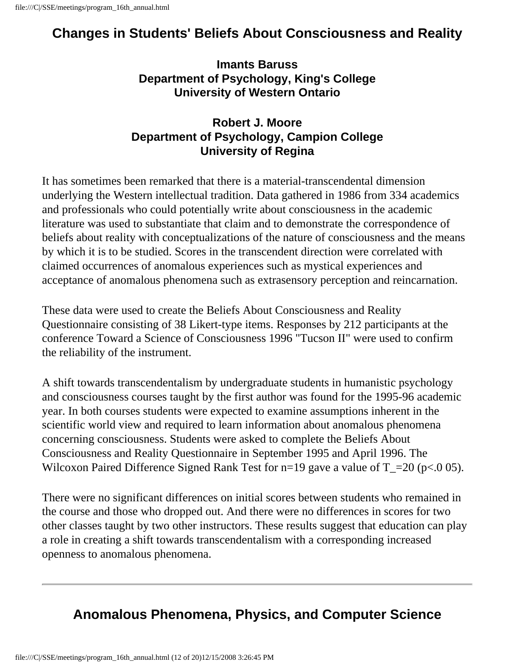## **Changes in Students' Beliefs About Consciousness and Reality**

**Imants Baruss Department of Psychology, King's College University of Western Ontario**

#### **Robert J. Moore Department of Psychology, Campion College University of Regina**

It has sometimes been remarked that there is a material-transcendental dimension underlying the Western intellectual tradition. Data gathered in 1986 from 334 academics and professionals who could potentially write about consciousness in the academic literature was used to substantiate that claim and to demonstrate the correspondence of beliefs about reality with conceptualizations of the nature of consciousness and the means by which it is to be studied. Scores in the transcendent direction were correlated with claimed occurrences of anomalous experiences such as mystical experiences and acceptance of anomalous phenomena such as extrasensory perception and reincarnation.

These data were used to create the Beliefs About Consciousness and Reality Questionnaire consisting of 38 Likert-type items. Responses by 212 participants at the conference Toward a Science of Consciousness 1996 "Tucson II" were used to confirm the reliability of the instrument.

A shift towards transcendentalism by undergraduate students in humanistic psychology and consciousness courses taught by the first author was found for the 1995-96 academic year. In both courses students were expected to examine assumptions inherent in the scientific world view and required to learn information about anomalous phenomena concerning consciousness. Students were asked to complete the Beliefs About Consciousness and Reality Questionnaire in September 1995 and April 1996. The Wilcoxon Paired Difference Signed Rank Test for  $n=19$  gave a value of  $T_2=20$  ( $p<.0$  05).

There were no significant differences on initial scores between students who remained in the course and those who dropped out. And there were no differences in scores for two other classes taught by two other instructors. These results suggest that education can play a role in creating a shift towards transcendentalism with a corresponding increased openness to anomalous phenomena.

## **Anomalous Phenomena, Physics, and Computer Science**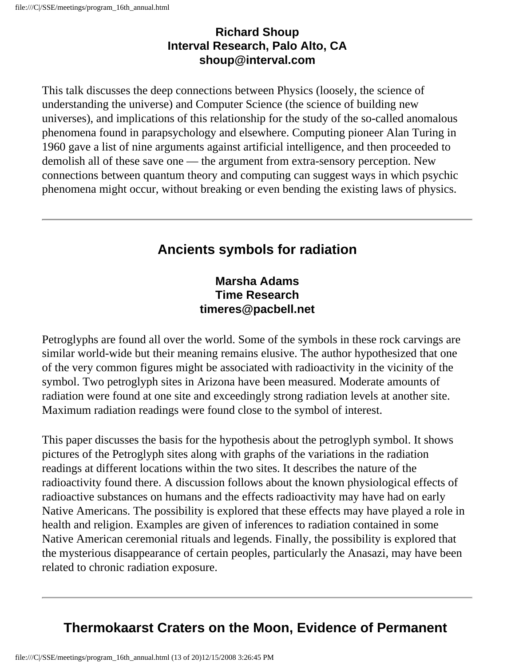#### **Richard Shoup Interval Research, Palo Alto, CA shoup@interval.com**

This talk discusses the deep connections between Physics (loosely, the science of understanding the universe) and Computer Science (the science of building new universes), and implications of this relationship for the study of the so-called anomalous phenomena found in parapsychology and elsewhere. Computing pioneer Alan Turing in 1960 gave a list of nine arguments against artificial intelligence, and then proceeded to demolish all of these save one — the argument from extra-sensory perception. New connections between quantum theory and computing can suggest ways in which psychic phenomena might occur, without breaking or even bending the existing laws of physics.

## **Ancients symbols for radiation**

#### **Marsha Adams Time Research timeres@pacbell.net**

Petroglyphs are found all over the world. Some of the symbols in these rock carvings are similar world-wide but their meaning remains elusive. The author hypothesized that one of the very common figures might be associated with radioactivity in the vicinity of the symbol. Two petroglyph sites in Arizona have been measured. Moderate amounts of radiation were found at one site and exceedingly strong radiation levels at another site. Maximum radiation readings were found close to the symbol of interest.

This paper discusses the basis for the hypothesis about the petroglyph symbol. It shows pictures of the Petroglyph sites along with graphs of the variations in the radiation readings at different locations within the two sites. It describes the nature of the radioactivity found there. A discussion follows about the known physiological effects of radioactive substances on humans and the effects radioactivity may have had on early Native Americans. The possibility is explored that these effects may have played a role in health and religion. Examples are given of inferences to radiation contained in some Native American ceremonial rituals and legends. Finally, the possibility is explored that the mysterious disappearance of certain peoples, particularly the Anasazi, may have been related to chronic radiation exposure.

## **Thermokaarst Craters on the Moon, Evidence of Permanent**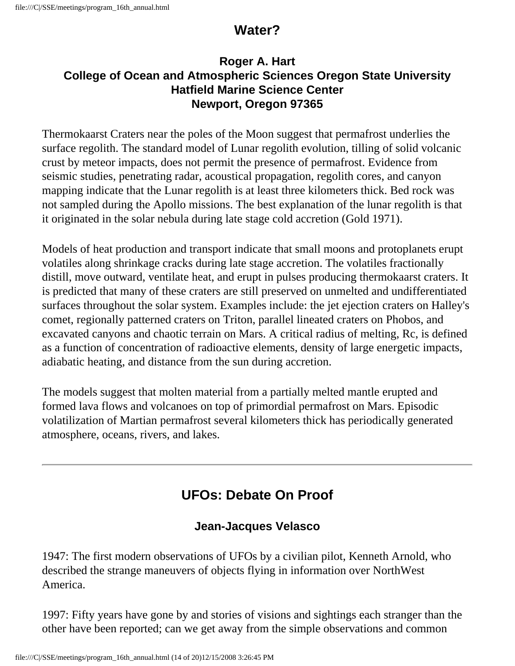### **Water?**

#### **Roger A. Hart College of Ocean and Atmospheric Sciences Oregon State University Hatfield Marine Science Center Newport, Oregon 97365**

Thermokaarst Craters near the poles of the Moon suggest that permafrost underlies the surface regolith. The standard model of Lunar regolith evolution, tilling of solid volcanic crust by meteor impacts, does not permit the presence of permafrost. Evidence from seismic studies, penetrating radar, acoustical propagation, regolith cores, and canyon mapping indicate that the Lunar regolith is at least three kilometers thick. Bed rock was not sampled during the Apollo missions. The best explanation of the lunar regolith is that it originated in the solar nebula during late stage cold accretion (Gold 1971).

Models of heat production and transport indicate that small moons and protoplanets erupt volatiles along shrinkage cracks during late stage accretion. The volatiles fractionally distill, move outward, ventilate heat, and erupt in pulses producing thermokaarst craters. It is predicted that many of these craters are still preserved on unmelted and undifferentiated surfaces throughout the solar system. Examples include: the jet ejection craters on Halley's comet, regionally patterned craters on Triton, parallel lineated craters on Phobos, and excavated canyons and chaotic terrain on Mars. A critical radius of melting, Rc, is defined as a function of concentration of radioactive elements, density of large energetic impacts, adiabatic heating, and distance from the sun during accretion.

The models suggest that molten material from a partially melted mantle erupted and formed lava flows and volcanoes on top of primordial permafrost on Mars. Episodic volatilization of Martian permafrost several kilometers thick has periodically generated atmosphere, oceans, rivers, and lakes.

# **UFOs: Debate On Proof**

### **Jean-Jacques Velasco**

1947: The first modern observations of UFOs by a civilian pilot, Kenneth Arnold, who described the strange maneuvers of objects flying in information over NorthWest America.

1997: Fifty years have gone by and stories of visions and sightings each stranger than the other have been reported; can we get away from the simple observations and common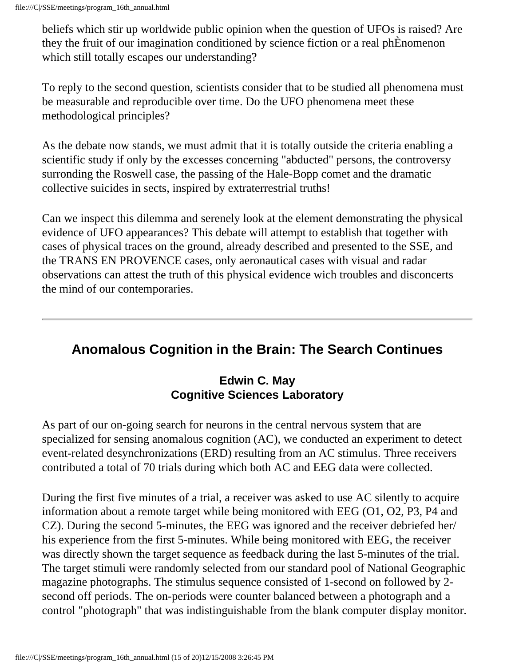beliefs which stir up worldwide public opinion when the question of UFOs is raised? Are they the fruit of our imagination conditioned by science fiction or a real phÈnomenon which still totally escapes our understanding?

To reply to the second question, scientists consider that to be studied all phenomena must be measurable and reproducible over time. Do the UFO phenomena meet these methodological principles?

As the debate now stands, we must admit that it is totally outside the criteria enabling a scientific study if only by the excesses concerning "abducted" persons, the controversy surronding the Roswell case, the passing of the Hale-Bopp comet and the dramatic collective suicides in sects, inspired by extraterrestrial truths!

Can we inspect this dilemma and serenely look at the element demonstrating the physical evidence of UFO appearances? This debate will attempt to establish that together with cases of physical traces on the ground, already described and presented to the SSE, and the TRANS EN PROVENCE cases, only aeronautical cases with visual and radar observations can attest the truth of this physical evidence wich troubles and disconcerts the mind of our contemporaries.

### **Anomalous Cognition in the Brain: The Search Continues**

#### **Edwin C. May Cognitive Sciences Laboratory**

As part of our on-going search for neurons in the central nervous system that are specialized for sensing anomalous cognition (AC), we conducted an experiment to detect event-related desynchronizations (ERD) resulting from an AC stimulus. Three receivers contributed a total of 70 trials during which both AC and EEG data were collected.

During the first five minutes of a trial, a receiver was asked to use AC silently to acquire information about a remote target while being monitored with EEG (O1, O2, P3, P4 and CZ). During the second 5-minutes, the EEG was ignored and the receiver debriefed her/ his experience from the first 5-minutes. While being monitored with EEG, the receiver was directly shown the target sequence as feedback during the last 5-minutes of the trial. The target stimuli were randomly selected from our standard pool of National Geographic magazine photographs. The stimulus sequence consisted of 1-second on followed by 2 second off periods. The on-periods were counter balanced between a photograph and a control "photograph" that was indistinguishable from the blank computer display monitor.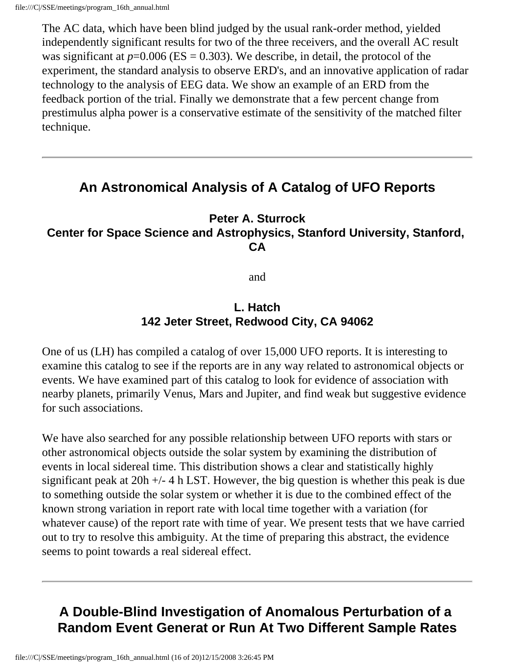The AC data, which have been blind judged by the usual rank-order method, yielded independently significant results for two of the three receivers, and the overall AC result was significant at  $p=0.006$  (ES = 0.303). We describe, in detail, the protocol of the experiment, the standard analysis to observe ERD's, and an innovative application of radar technology to the analysis of EEG data. We show an example of an ERD from the feedback portion of the trial. Finally we demonstrate that a few percent change from prestimulus alpha power is a conservative estimate of the sensitivity of the matched filter technique.

### **An Astronomical Analysis of A Catalog of UFO Reports**

#### **Peter A. Sturrock Center for Space Science and Astrophysics, Stanford University, Stanford, CA**

and

#### **L. Hatch 142 Jeter Street, Redwood City, CA 94062**

One of us (LH) has compiled a catalog of over 15,000 UFO reports. It is interesting to examine this catalog to see if the reports are in any way related to astronomical objects or events. We have examined part of this catalog to look for evidence of association with nearby planets, primarily Venus, Mars and Jupiter, and find weak but suggestive evidence for such associations.

We have also searched for any possible relationship between UFO reports with stars or other astronomical objects outside the solar system by examining the distribution of events in local sidereal time. This distribution shows a clear and statistically highly significant peak at 20h +/- 4 h LST. However, the big question is whether this peak is due to something outside the solar system or whether it is due to the combined effect of the known strong variation in report rate with local time together with a variation (for whatever cause) of the report rate with time of year. We present tests that we have carried out to try to resolve this ambiguity. At the time of preparing this abstract, the evidence seems to point towards a real sidereal effect.

## **A Double-Blind Investigation of Anomalous Perturbation of a Random Event Generat or Run At Two Different Sample Rates**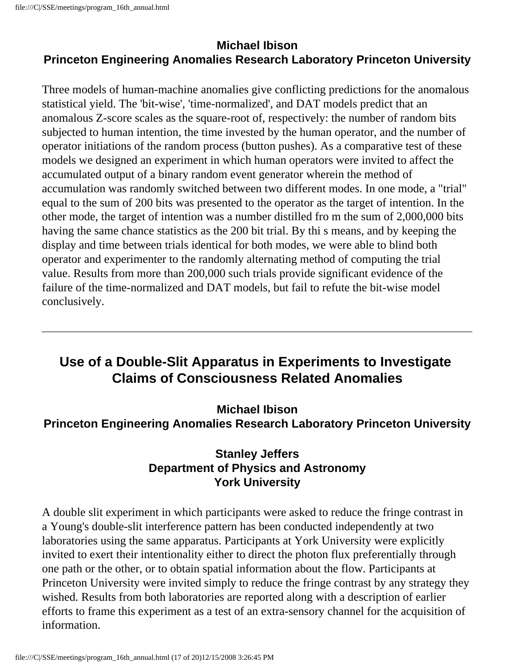#### **Michael Ibison Princeton Engineering Anomalies Research Laboratory Princeton University**

Three models of human-machine anomalies give conflicting predictions for the anomalous statistical yield. The 'bit-wise', 'time-normalized', and DAT models predict that an anomalous Z-score scales as the square-root of, respectively: the number of random bits subjected to human intention, the time invested by the human operator, and the number of operator initiations of the random process (button pushes). As a comparative test of these models we designed an experiment in which human operators were invited to affect the accumulated output of a binary random event generator wherein the method of accumulation was randomly switched between two different modes. In one mode, a "trial" equal to the sum of 200 bits was presented to the operator as the target of intention. In the other mode, the target of intention was a number distilled fro m the sum of 2,000,000 bits having the same chance statistics as the 200 bit trial. By thi s means, and by keeping the display and time between trials identical for both modes, we were able to blind both operator and experimenter to the randomly alternating method of computing the trial value. Results from more than 200,000 such trials provide significant evidence of the failure of the time-normalized and DAT models, but fail to refute the bit-wise model conclusively.

### **Use of a Double-Slit Apparatus in Experiments to Investigate Claims of Consciousness Related Anomalies**

**Michael Ibison Princeton Engineering Anomalies Research Laboratory Princeton University**

#### **Stanley Jeffers Department of Physics and Astronomy York University**

A double slit experiment in which participants were asked to reduce the fringe contrast in a Young's double-slit interference pattern has been conducted independently at two laboratories using the same apparatus. Participants at York University were explicitly invited to exert their intentionality either to direct the photon flux preferentially through one path or the other, or to obtain spatial information about the flow. Participants at Princeton University were invited simply to reduce the fringe contrast by any strategy they wished. Results from both laboratories are reported along with a description of earlier efforts to frame this experiment as a test of an extra-sensory channel for the acquisition of information.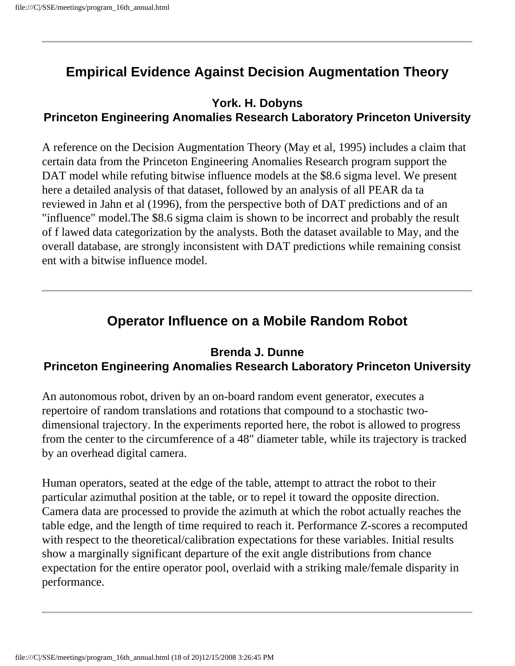## **Empirical Evidence Against Decision Augmentation Theory**

#### **York. H. Dobyns Princeton Engineering Anomalies Research Laboratory Princeton University**

A reference on the Decision Augmentation Theory (May et al, 1995) includes a claim that certain data from the Princeton Engineering Anomalies Research program support the DAT model while refuting bitwise influence models at the \$8.6 sigma level. We present here a detailed analysis of that dataset, followed by an analysis of all PEAR da ta reviewed in Jahn et al (1996), from the perspective both of DAT predictions and of an "influence" model.The \$8.6 sigma claim is shown to be incorrect and probably the result of f lawed data categorization by the analysts. Both the dataset available to May, and the overall database, are strongly inconsistent with DAT predictions while remaining consist ent with a bitwise influence model.

### **Operator Influence on a Mobile Random Robot**

#### **Brenda J. Dunne Princeton Engineering Anomalies Research Laboratory Princeton University**

An autonomous robot, driven by an on-board random event generator, executes a repertoire of random translations and rotations that compound to a stochastic twodimensional trajectory. In the experiments reported here, the robot is allowed to progress from the center to the circumference of a 48" diameter table, while its trajectory is tracked by an overhead digital camera.

Human operators, seated at the edge of the table, attempt to attract the robot to their particular azimuthal position at the table, or to repel it toward the opposite direction. Camera data are processed to provide the azimuth at which the robot actually reaches the table edge, and the length of time required to reach it. Performance Z-scores a recomputed with respect to the theoretical/calibration expectations for these variables. Initial results show a marginally significant departure of the exit angle distributions from chance expectation for the entire operator pool, overlaid with a striking male/female disparity in performance.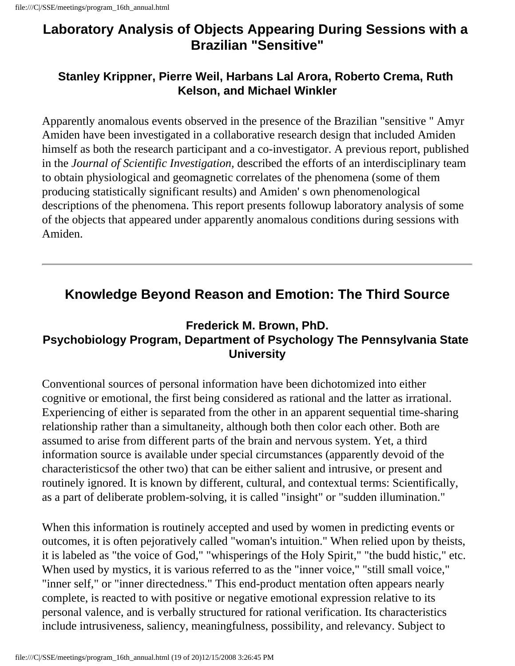### **Laboratory Analysis of Objects Appearing During Sessions with a Brazilian "Sensitive"**

#### **Stanley Krippner, Pierre Weil, Harbans Lal Arora, Roberto Crema, Ruth Kelson, and Michael Winkler**

Apparently anomalous events observed in the presence of the Brazilian "sensitive " Amyr Amiden have been investigated in a collaborative research design that included Amiden himself as both the research participant and a co-investigator. A previous report, published in the *Journal of Scientific Investigation,* described the efforts of an interdisciplinary team to obtain physiological and geomagnetic correlates of the phenomena (some of them producing statistically significant results) and Amiden' s own phenomenological descriptions of the phenomena. This report presents followup laboratory analysis of some of the objects that appeared under apparently anomalous conditions during sessions with Amiden.

### **Knowledge Beyond Reason and Emotion: The Third Source**

### **Frederick M. Brown, PhD. Psychobiology Program, Department of Psychology The Pennsylvania State University**

Conventional sources of personal information have been dichotomized into either cognitive or emotional, the first being considered as rational and the latter as irrational. Experiencing of either is separated from the other in an apparent sequential time-sharing relationship rather than a simultaneity, although both then color each other. Both are assumed to arise from different parts of the brain and nervous system. Yet, a third information source is available under special circumstances (apparently devoid of the characteristicsof the other two) that can be either salient and intrusive, or present and routinely ignored. It is known by different, cultural, and contextual terms: Scientifically, as a part of deliberate problem-solving, it is called "insight" or "sudden illumination."

When this information is routinely accepted and used by women in predicting events or outcomes, it is often pejoratively called "woman's intuition." When relied upon by theists, it is labeled as "the voice of God," "whisperings of the Holy Spirit," "the budd histic," etc. When used by mystics, it is various referred to as the "inner voice," "still small voice," "inner self," or "inner directedness." This end-product mentation often appears nearly complete, is reacted to with positive or negative emotional expression relative to its personal valence, and is verbally structured for rational verification. Its characteristics include intrusiveness, saliency, meaningfulness, possibility, and relevancy. Subject to